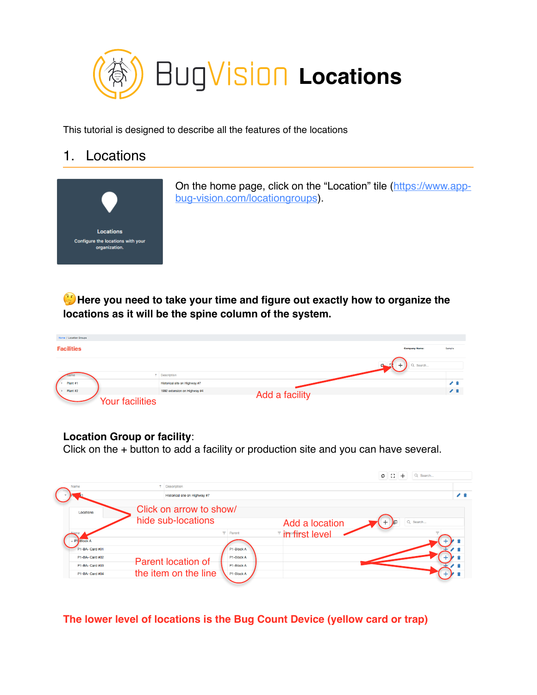

This tutorial is designed to describe all the features of the locations

## 1. Locations



On the home page, click on the "Location" tile ([https://www.app](https://www.app-bug-vision.com/locationgroups)[bug-vision.com/locationgroups](https://www.app-bug-vision.com/locationgroups)).

 **Here you need to take your time and figure out exactly how to organize the locations as it will be the spine column of the system.**

| Home / Location Groups |                               |                |                      |                |
|------------------------|-------------------------------|----------------|----------------------|----------------|
| <b>Facilities</b>      |                               |                | <b>Company Name:</b> | Sample         |
|                        |                               |                | Q Search             |                |
|                        | 1 Description                 |                |                      |                |
| Plant #1               | Historical site on Highway #7 |                |                      | ◢ 11           |
| Plant #2               | 1992 extension on Highway #4  |                |                      | $\overline{ }$ |
| <b>Your facilities</b> |                               | Add a facility |                      |                |

## **Location Group or facility**:

Click on the + button to add a facility or production site and you can have several.



**The lower level of locations is the Bug Count Device (yellow card or trap)**